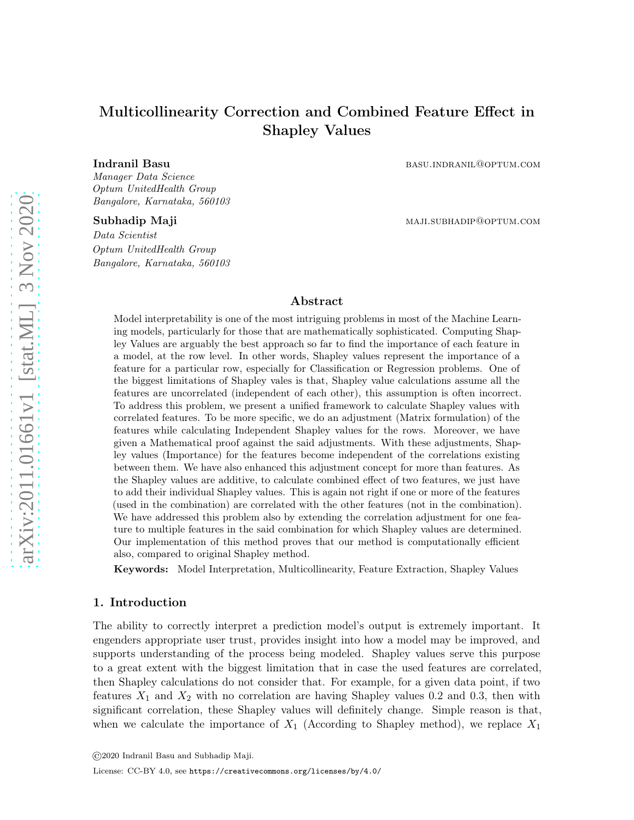# Multicollinearity Correction and Combined Feature Effect in Shapley Values

Manager Data Science Optum UnitedHealth Group Bangalore, Karnataka, 560103

Data Scientist Optum UnitedHealth Group Bangalore, Karnataka, 560103

Indranil Basu basu.indranil@optum.com

Subhadip Maji maji maji.subhadip Maji maji.subhadip@optum.com

## Abstract

Model interpretability is one of the most intriguing problems in most of the Machine Learning models, particularly for those that are mathematically sophisticated. Computing Shapley Values are arguably the best approach so far to find the importance of each feature in a model, at the row level. In other words, Shapley values represent the importance of a feature for a particular row, especially for Classification or Regression problems. One of the biggest limitations of Shapley vales is that, Shapley value calculations assume all the features are uncorrelated (independent of each other), this assumption is often incorrect. To address this problem, we present a unified framework to calculate Shapley values with correlated features. To be more specific, we do an adjustment (Matrix formulation) of the features while calculating Independent Shapley values for the rows. Moreover, we have given a Mathematical proof against the said adjustments. With these adjustments, Shapley values (Importance) for the features become independent of the correlations existing between them. We have also enhanced this adjustment concept for more than features. As the Shapley values are additive, to calculate combined effect of two features, we just have to add their individual Shapley values. This is again not right if one or more of the features (used in the combination) are correlated with the other features (not in the combination). We have addressed this problem also by extending the correlation adjustment for one feature to multiple features in the said combination for which Shapley values are determined. Our implementation of this method proves that our method is computationally efficient also, compared to original Shapley method.

Keywords: Model Interpretation, Multicollinearity, Feature Extraction, Shapley Values

#### 1. Introduction

The ability to correctly interpret a prediction model's output is extremely important. It engenders appropriate user trust, provides insight into how a model may be improved, and supports understanding of the process being modeled. Shapley values serve this purpose to a great extent with the biggest limitation that in case the used features are correlated, then Shapley calculations do not consider that. For example, for a given data point, if two features  $X_1$  and  $X_2$  with no correlation are having Shapley values 0.2 and 0.3, then with significant correlation, these Shapley values will definitely change. Simple reason is that, when we calculate the importance of  $X_1$  (According to Shapley method), we replace  $X_1$ 

<sup>©2020</sup> Indranil Basu and Subhadip Maji.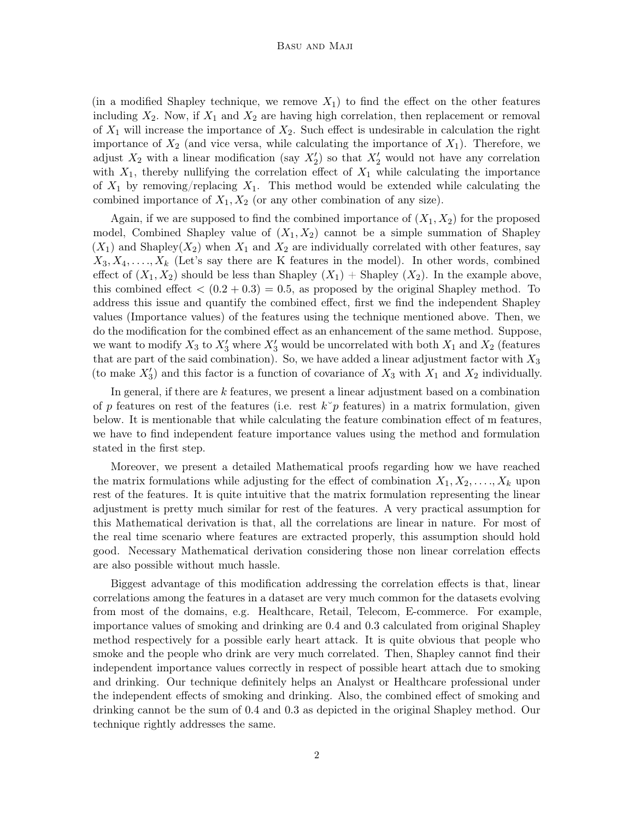(in a modified Shapley technique, we remove  $X_1$ ) to find the effect on the other features including  $X_2$ . Now, if  $X_1$  and  $X_2$  are having high correlation, then replacement or removal of  $X_1$  will increase the importance of  $X_2$ . Such effect is undesirable in calculation the right importance of  $X_2$  (and vice versa, while calculating the importance of  $X_1$ ). Therefore, we adjust  $X_2$  with a linear modification (say  $X'_2$ ) so that  $X'_2$  would not have any correlation with  $X_1$ , thereby nullifying the correlation effect of  $X_1$  while calculating the importance of  $X_1$  by removing/replacing  $X_1$ . This method would be extended while calculating the combined importance of  $X_1, X_2$  (or any other combination of any size).

Again, if we are supposed to find the combined importance of  $(X_1, X_2)$  for the proposed model, Combined Shapley value of  $(X_1, X_2)$  cannot be a simple summation of Shapley  $(X_1)$  and Shapley $(X_2)$  when  $X_1$  and  $X_2$  are individually correlated with other features, say  $X_3, X_4, \ldots, X_k$  (Let's say there are K features in the model). In other words, combined effect of  $(X_1, X_2)$  should be less than Shapley  $(X_1)$  + Shapley  $(X_2)$ . In the example above, this combined effect  $(0.2 + 0.3) = 0.5$ , as proposed by the original Shapley method. To address this issue and quantify the combined effect, first we find the independent Shapley values (Importance values) of the features using the technique mentioned above. Then, we do the modification for the combined effect as an enhancement of the same method. Suppose, we want to modify  $X_3$  to  $X'_3$  where  $X'_3$  would be uncorrelated with both  $X_1$  and  $X_2$  (features that are part of the said combination). So, we have added a linear adjustment factor with  $X_3$ (to make  $X'_3$ ) and this factor is a function of covariance of  $X_3$  with  $X_1$  and  $X_2$  individually.

In general, if there are k features, we present a linear adjustment based on a combination of p features on rest of the features (i.e. rest  $k^{\circ}p$  features) in a matrix formulation, given below. It is mentionable that while calculating the feature combination effect of m features, we have to find independent feature importance values using the method and formulation stated in the first step.

Moreover, we present a detailed Mathematical proofs regarding how we have reached the matrix formulations while adjusting for the effect of combination  $X_1, X_2, \ldots, X_k$  upon rest of the features. It is quite intuitive that the matrix formulation representing the linear adjustment is pretty much similar for rest of the features. A very practical assumption for this Mathematical derivation is that, all the correlations are linear in nature. For most of the real time scenario where features are extracted properly, this assumption should hold good. Necessary Mathematical derivation considering those non linear correlation effects are also possible without much hassle.

Biggest advantage of this modification addressing the correlation effects is that, linear correlations among the features in a dataset are very much common for the datasets evolving from most of the domains, e.g. Healthcare, Retail, Telecom, E-commerce. For example, importance values of smoking and drinking are 0.4 and 0.3 calculated from original Shapley method respectively for a possible early heart attack. It is quite obvious that people who smoke and the people who drink are very much correlated. Then, Shapley cannot find their independent importance values correctly in respect of possible heart attach due to smoking and drinking. Our technique definitely helps an Analyst or Healthcare professional under the independent effects of smoking and drinking. Also, the combined effect of smoking and drinking cannot be the sum of 0.4 and 0.3 as depicted in the original Shapley method. Our technique rightly addresses the same.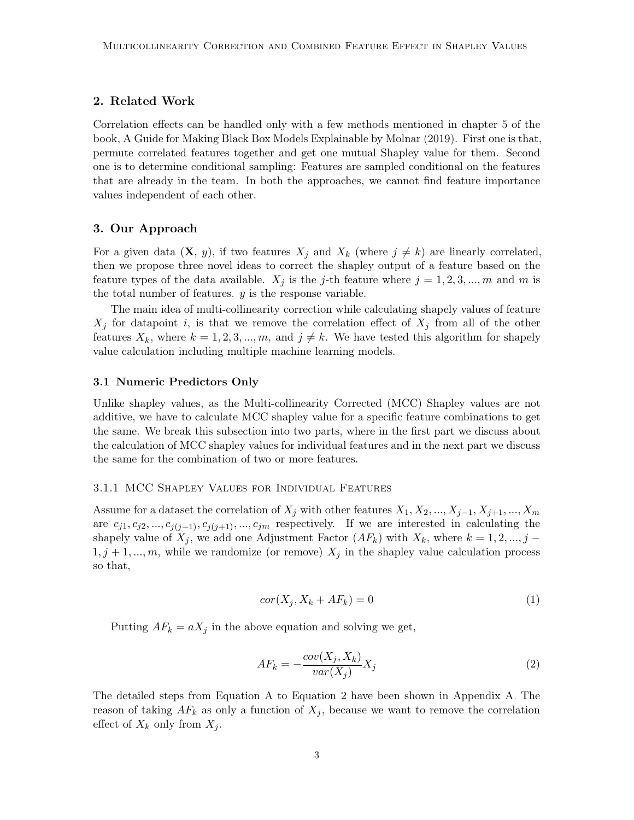### 2. Related Work

Correlation effects can be handled only with a few methods mentioned in chapter 5 of the book, A Guide for Making Black Box Models Explainable by [Molnar](#page-10-0) [\(2019\)](#page-10-0). First one is that, permute correlated features together and get one mutual Shapley value for them. Second one is to determine conditional sampling: Features are sampled conditional on the features that are already in the team. In both the approaches, we cannot find feature importance values independent of each other.

#### 3. Our Approach

For a given data  $(X, y)$ , if two features  $X_j$  and  $X_k$  (where  $j \neq k$ ) are linearly correlated, then we propose three novel ideas to correct the shapley output of a feature based on the feature types of the data available.  $X_j$  is the j-th feature where  $j = 1, 2, 3, ..., m$  and m is the total number of features.  $y$  is the response variable.

The main idea of multi-collinearity correction while calculating shapely values of feature  $X_j$  for datapoint i, is that we remove the correlation effect of  $X_j$  from all of the other features  $X_k$ , where  $k = 1, 2, 3, ..., m$ , and  $j \neq k$ . We have tested this algorithm for shapely value calculation including multiple machine learning models.

#### 3.1 Numeric Predictors Only

Unlike shapley values, as the Multi-collinearity Corrected (MCC) Shapley values are not additive, we have to calculate MCC shapley value for a specific feature combinations to get the same. We break this subsection into two parts, where in the first part we discuss about the calculation of MCC shapley values for individual features and in the next part we discuss the same for the combination of two or more features.

#### 3.1.1 MCC Shapley Values for Individual Features

Assume for a dataset the correlation of  $X_j$  with other features  $X_1, X_2, ..., X_{j-1}, X_{j+1}, ..., X_m$ are  $c_{j1}, c_{j2}, ..., c_{j(j-1)}, c_{j(j+1)}, ..., c_{jm}$  respectively. If we are interested in calculating the shapely value of  $X_j$ , we add one Adjustment Factor  $(AF_k)$  with  $X_k$ , where  $k = 1, 2, ..., j - k$  $1, j + 1, ..., m$ , while we randomize (or remove)  $X_j$  in the shapley value calculation process so that,

$$
cor(X_j, X_k + AF_k) = 0
$$
\n<sup>(1)</sup>

<span id="page-2-0"></span>Putting  $AF_k = aX_j$  in the above equation and solving we get,

$$
AF_k = -\frac{cov(X_j, X_k)}{var(X_j)} X_j \tag{2}
$$

The detailed steps from Equation [A](#page-11-0) to Equation [2](#page-2-0) have been shown in Appendix [A.](#page-11-0) The reason of taking  $AF_k$  as only a function of  $X_j$ , because we want to remove the correlation effect of  $X_k$  only from  $X_i$ .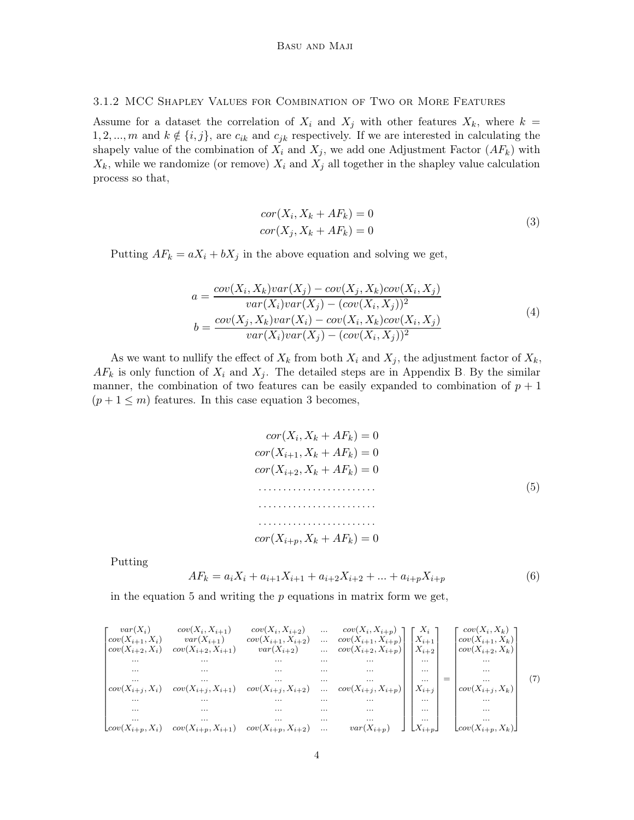#### <span id="page-3-3"></span>3.1.2 MCC Shapley Values for Combination of Two or More Features

<span id="page-3-0"></span>Assume for a dataset the correlation of  $X_i$  and  $X_j$  with other features  $X_k$ , where  $k =$ 1, 2, ..., m and  $k \notin \{i, j\}$ , are  $c_{ik}$  and  $c_{jk}$  respectively. If we are interested in calculating the shapely value of the combination of  $X_i$  and  $X_j$ , we add one Adjustment Factor  $(AF_k)$  with  $X_k$ , while we randomize (or remove)  $X_i$  and  $X_j$  all together in the shapley value calculation process so that,

$$
cor(Xi, Xk + AFk) = 0
$$
  

$$
cor(Xj, Xk + AFk) = 0
$$
 (3)

<span id="page-3-4"></span>Putting  $AF_k = aX_i + bX_j$  in the above equation and solving we get,

$$
a = \frac{cov(X_i, X_k)var(X_j) - cov(X_j, X_k)cov(X_i, X_j)}{var(X_i)var(X_j) - (cov(X_i, X_j))^2}
$$
  
\n
$$
b = \frac{cov(X_j, X_k)var(X_i) - cov(X_i, X_k)cov(X_i, X_j)}{var(X_i)var(X_j) - (cov(X_i, X_j))^2}
$$
\n(4)

<span id="page-3-1"></span>As we want to nullify the effect of  $X_k$  from both  $X_i$  and  $X_j$ , the adjustment factor of  $X_k$ ,  $AF_k$  is only function of  $X_i$  and  $X_j$ . The detailed steps are in Appendix [B.](#page-11-1) By the similar manner, the combination of two features can be easily expanded to combination of  $p + 1$  $(p+1 \leq m)$  features. In this case equation [3](#page-3-0) becomes,

$$
cor(X_i, X_k + AF_k) = 0
$$
  
\n
$$
cor(X_{i+1}, X_k + AF_k) = 0
$$
  
\n
$$
cor(X_{i+2}, X_k + AF_k) = 0
$$
  
\n
$$
\dots
$$
  
\n
$$
cor(X_{i+p}, X_k + AF_k) = 0
$$
  
\n(5)

Putting

<span id="page-3-2"></span>
$$
AF_k = a_i X_i + a_{i+1} X_{i+1} + a_{i+2} X_{i+2} + \dots + a_{i+p} X_{i+p}
$$
\n
$$
(6)
$$

in the equation [5](#page-3-1) and writing the  $p$  equations in matrix form we get,

| $var(X_i)$<br>$cov(X_{i+1}, X_i)$<br>$cov(X_{i+2}, X_i)$ | $cov(X_i, X_{i+1})$<br>$var(X_{i+1})$<br>$cov(X_{i+2}, X_{i+1})$ | $cov(X_i, X_{i+2})$<br>$cov(X_{i+1}, X_{i+2})$<br>$var(X_{i+2})$ | $\cdots$<br>$\cdots$ | $cov(X_i, X_{i+p})$<br>$cov(X_{i+1}, X_{i+p})$ | $X_i$<br>$ X_{i+1} $ | $cov(X_i, X_k)$<br>$cov(X_{i+1}, X_k)$<br>$\begin{bmatrix} \dots & \dots & \dots & \dots & \dots \\ \dots & \dots & \dots & \dots & \dots \\ \dots & \dots & \dots & \dots & \dots \\ \dots & \dots & \dots & \dots & \dots \\ \dots & \dots & \dots & \dots & \dots \\ \dots & \dots & \dots & \dots & \dots \\ \dots & \dots & \dots & \dots & \dots \\ \dots & \dots & \dots & \dots & \dots \\ \dots & \dots & \dots & \dots & \dots \\ \dots & \dots & \dots & \dots & \dots \\ \dots & \dots & \dots & \dots & \dots \\ \dots & \dots & \dots & \dots & \dots \\ \dots & \dots & \dots & \dots & \dots \\ \dots & \dots & \dots & \dots & \dots \\ \dots & \$ |  |
|----------------------------------------------------------|------------------------------------------------------------------|------------------------------------------------------------------|----------------------|------------------------------------------------|----------------------|---------------------------------------------------------------------------------------------------------------------------------------------------------------------------------------------------------------------------------------------------------------------------------------------------------------------------------------------------------------------------------------------------------------------------------------------------------------------------------------------------------------------------------------------------------------------------------------------------------------------------------------------------------------------|--|
| $\cdots$                                                 | $\cdots$                                                         | $\ldots$                                                         |                      |                                                |                      |                                                                                                                                                                                                                                                                                                                                                                                                                                                                                                                                                                                                                                                                     |  |
| $\cdots$                                                 | $\cdots$                                                         | <b>Contract Contract</b>                                         |                      |                                                |                      |                                                                                                                                                                                                                                                                                                                                                                                                                                                                                                                                                                                                                                                                     |  |
| $\cdots$                                                 | $\cdots$                                                         | <b>Contract Contract Contract</b>                                |                      |                                                |                      |                                                                                                                                                                                                                                                                                                                                                                                                                                                                                                                                                                                                                                                                     |  |
| $cov(X_{i+j}, X_i)$                                      | $cov(X_{i+j}, X_{i+1})$                                          | $cov(X_{i+j}, X_{i+2})$                                          |                      |                                                |                      |                                                                                                                                                                                                                                                                                                                                                                                                                                                                                                                                                                                                                                                                     |  |
| $\cdots$                                                 | $\cdots$                                                         |                                                                  |                      |                                                |                      |                                                                                                                                                                                                                                                                                                                                                                                                                                                                                                                                                                                                                                                                     |  |
| $\cdots$                                                 | $\cdots$                                                         | $\cdots$                                                         |                      |                                                |                      |                                                                                                                                                                                                                                                                                                                                                                                                                                                                                                                                                                                                                                                                     |  |
| $\cdots$                                                 | $\cdots$                                                         | $\cdots$                                                         |                      |                                                |                      |                                                                                                                                                                                                                                                                                                                                                                                                                                                                                                                                                                                                                                                                     |  |
| $\mathcal{L}ov(X_{i+p}, X_i)$                            | $cov(X_{i+p}, X_{i+1})$                                          | $cov(X_{i+p}, X_{i+2})$                                          |                      |                                                |                      |                                                                                                                                                                                                                                                                                                                                                                                                                                                                                                                                                                                                                                                                     |  |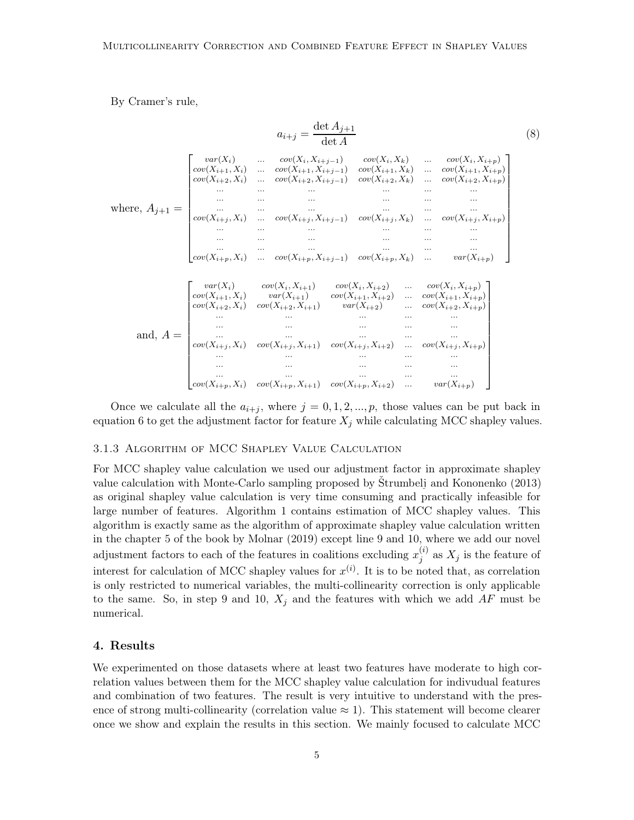By Cramer's rule,

$$
a_{i+j} = \frac{\det A_{j+1}}{\det A}
$$
(8)  

$$
\int \frac{\cot(X_i)}{\cot(X_{i+1}, X_i)} \cdot \cdots \cdot \frac{\cot(X_i, X_{i+j-1})}{\cot(X_{i+1}, X_{i+j-1})} \cdot \frac{\cot(X_i, X_k)}{\cot(X_{i+1}, X_k)} \cdot \cdots \cdot \frac{\cot(X_i, X_{i+p})}{\cot(X_{i+1}, X_{i+p})}
$$
  
where,  $A_{j+1} = \begin{bmatrix} \frac{\cot(X_{i+1}, X_i)}{\cot(X_{i+2}, X_i)} \cdot \cdots \cdot \frac{\cot(X_{i+1}, X_k)}{\cot(X_{i+2}, X_i)} \cdot \cdots \cdot \frac{\cot(X_{i+1}, X_{i+p})}{\cot(X_{i+2}, X_i)} \cdot \cdots \cdot \frac{\cot(X_{i+2}, X_{i+p})}{\cot(X_{i+2}, X_i)} \cdot \cdots \cdot \frac{\cot(X_{i+1}, X_{i+p})}{\cot(X_{i+1}, X_i)} \cdot \cdots \cdot \frac{\cot(X_{i+1}, X_{i+p})}{\cot(X_{i+1}, X_i)} \cdot \cdots \cdot \frac{\cot(X_{i+1}, X_{i+p})}{\cot(X_{i+1}, X_i)} \cdot \cdots \cdot \frac{\cot(X_{i+1}, X_{i+p})}{\cot(X_{i+1}, X_i)} \cdot \cdots \cdot \frac{\cot(X_{i+1}, X_{i+p})}{\cot(X_{i+1}, X_i)} \cdot \cdots \cdot \frac{\cot(X_{i+1}, X_{i+p})}{\cot(X_{i+1}, X_i)} \cdot \cdots \cdot \frac{\cot(X_{i+1}, X_{i+p})}{\cot(X_{i+1}, X_i)} \cdot \cdots \cdot \frac{\cot(X_{i+1}, X_{i+p})}{\cot(X_{i+1}, X_i)} \cdot \cdots \cdot \frac{\cot(X_{i+1}, X_{i+p})}{\cot(X_{i+1}, X_i)} \cdot \cdots \cdot \frac{\cot(X_{i+1}, X_{i+p})}{\cot(X_{i+1}, X_i)} \cdot \cdots \cdot \frac{\cot(X_{i+1}, X_{i+p})}{\cot(X_{i+1}, X_i)} \cdot \cdots \cdot \frac{\cot(X_{i+1}, X_{i+p})}{\cot(X_{i+1}, X_i)} \cdot \cdots \cdot \frac{\cot(X_{i+1}, X_{i+p})}{\cot(X_{i+1}, X_i)} \cdot \cdots \cdot \frac{\cot(X_{i+1}, X_{i+p})}{\cot(X_{i$ 

Once we calculate all the  $a_{i+j}$ , where  $j = 0, 1, 2, ..., p$ , those values can be put back in equation [6](#page-3-2) to get the adjustment factor for feature  $X_j$  while calculating MCC shapley values.

#### 3.1.3 Algorithm of MCC Shapley Value Calculation

For MCC shapley value calculation we used our adjustment factor in approximate shapley value calculation with Monte-Carlo sampling proposed by [Štrumbelj and Kononenko \(2013\)](#page-10-1) as original shapley value calculation is very time consuming and practically infeasible for large number of features. Algorithm [1](#page-5-0) contains estimation of MCC shapley values. This algorithm is exactly same as the algorithm of approximate shapley value calculation written in the chapter 5 of the book by [Molnar \(2019\)](#page-10-0) except line 9 and 10, where we add our novel adjustment factors to each of the features in coalitions excluding  $x_i^{(i)}$  $j^{(i)}$  as  $X_j$  is the feature of interest for calculation of MCC shapley values for  $x^{(i)}$ . It is to be noted that, as correlation is only restricted to numerical variables, the multi-collinearity correction is only applicable to the same. So, in step 9 and 10,  $X_i$  and the features with which we add  $AF$  must be numerical.

#### 4. Results

We experimented on those datasets where at least two features have moderate to high correlation values between them for the MCC shapley value calculation for indivudual features and combination of two features. The result is very intuitive to understand with the presence of strong multi-collinearity (correlation value  $\approx$  1). This statement will become clearer once we show and explain the results in this section. We mainly focused to calculate MCC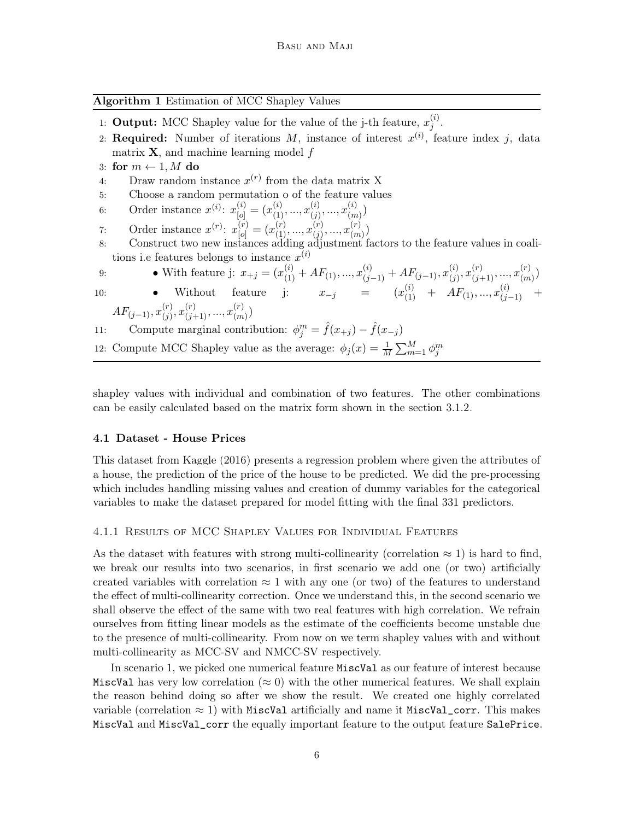<span id="page-5-0"></span>Algorithm 1 Estimation of MCC Shapley Values

|     | 1: <b>Output:</b> MCC Shapley value for the value of the j-th feature, $x_i^{(i)}$ .                                                     |
|-----|------------------------------------------------------------------------------------------------------------------------------------------|
|     | 2: Required: Number of iterations M, instance of interest $x^{(i)}$ , feature index j, data                                              |
|     | matrix $X$ , and machine learning model f                                                                                                |
|     | 3: for $m \leftarrow 1, M$ do                                                                                                            |
| 4:  | Draw random instance $x^{(r)}$ from the data matrix X                                                                                    |
| 5:  | Choose a random permutation o of the feature values                                                                                      |
| 6:  | Order instance $x^{(i)}$ : $x_{[o]}^{(i)} = (x_{(1)}^{(i)}, , x_{(j)}^{(i)}, , x_{(m)}^{(i)})$                                           |
| 7:  | Order instance $x^{(r)}$ : $x_{[o]}^{(r)} = (x_{(1)}^{(r)},,x_{(j)}^{(r)},,x_{(m)}^{(r)})$                                               |
| 8:  | Construct two new instances adding adjustment factors to the feature values in coal-                                                     |
|     | tions i.e features belongs to instance $x^{(i)}$                                                                                         |
| 9:  | • With feature j: $x_{+j} = (x_{(1)}^{(i)} + AF_{(1)}, , x_{(j-1)}^{(i)} + AF_{(j-1)}, x_{(j)}^{(i)}, x_{(j+1)}^{(r)}, , x_{(m)}^{(r)})$ |
| 10: | • Without feature j: $x_{-j} = (x_{(1)}^{(i)} + AF_{(1)}, , x_{(i-1)}^{(i)})$                                                            |
|     | $AF_{(i-1)}, x_{(i)}^{(r)}, x_{(i+1)}^{(r)}, , x_{(m)}^{(r)}$                                                                            |
| 11: | Compute marginal contribution: $\phi_j^m = f(x_{+j}) - f(x_{-j})$                                                                        |
|     | 12: Compute MCC Shapley value as the average: $\phi_j(x) = \frac{1}{M} \sum_{m=1}^{M} \phi_j^m$                                          |
|     |                                                                                                                                          |

shapley values with individual and combination of two features. The other combinations can be easily calculated based on the matrix form shown in the section [3.1.2.](#page-3-3)

#### 4.1 Dataset - House Prices

This dataset from [Kaggle \(2016](#page-10-2)) presents a regression problem where given the attributes of a house, the prediction of the price of the house to be predicted. We did the pre-processing which includes handling missing values and creation of dummy variables for the categorical variables to make the dataset prepared for model fitting with the final 331 predictors.

#### 4.1.1 Results of MCC Shapley Values for Individual Features

As the dataset with features with strong multi-collinearity (correlation  $\approx 1$ ) is hard to find, we break our results into two scenarios, in first scenario we add one (or two) artificially created variables with correlation  $\approx 1$  with any one (or two) of the features to understand the effect of multi-collinearity correction. Once we understand this, in the second scenario we shall observe the effect of the same with two real features with high correlation. We refrain ourselves from fitting linear models as the estimate of the coefficients become unstable due to the presence of multi-collinearity. From now on we term shapley values with and without multi-collinearity as MCC-SV and NMCC-SV respectively.

In scenario 1, we picked one numerical feature MiscVal as our feature of interest because MiscVal has very low correlation ( $\approx 0$ ) with the other numerical features. We shall explain the reason behind doing so after we show the result. We created one highly correlated variable (correlation  $\approx 1$ ) with MiscVal artificially and name it MiscVal\_corr. This makes MiscVal and MiscVal\_corr the equally important feature to the output feature SalePrice.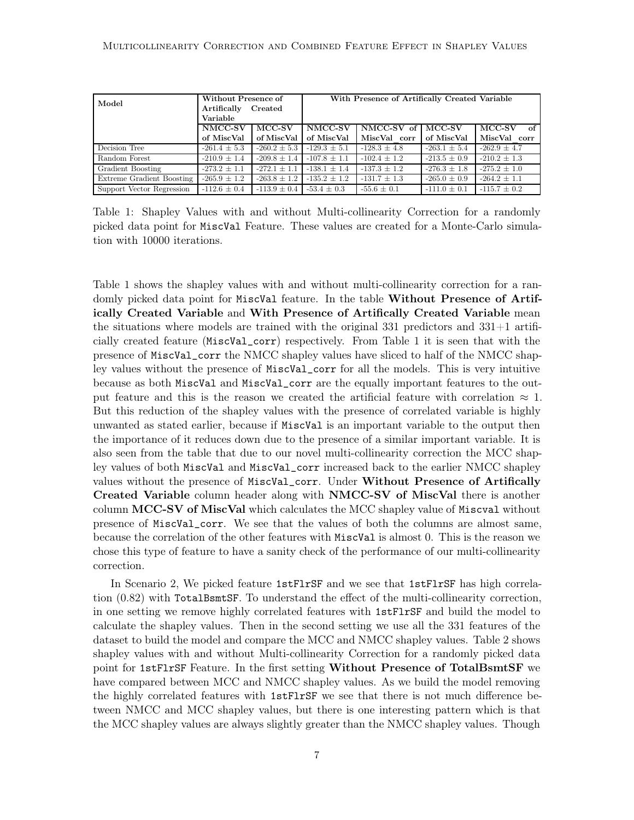<span id="page-6-0"></span>

| Model                     | Without Presence of |                  | With Presence of Artifically Created Variable |                     |                  |                  |  |
|---------------------------|---------------------|------------------|-----------------------------------------------|---------------------|------------------|------------------|--|
|                           | Artifically         | Created          |                                               |                     |                  |                  |  |
| Variable                  |                     |                  |                                               |                     |                  |                  |  |
|                           | NMCC-SV             | MCC-SV           | NMCC-SV                                       | NMCC-SV of   MCC-SV |                  | MCC-SV<br>of     |  |
|                           | of MiscVal          | of MiscVal       | of MiscVal                                    | MiscVal corr        | of MiscVal       | MiscVal corr     |  |
| Decision Tree             | $-261.4 \pm 5.3$    | $-260.2 \pm 5.3$ | $-129.3 + 5.1$                                | $-128.3 \pm 4.8$    | $-263.1 \pm 5.4$ | $-262.9 + 4.7$   |  |
| Random Forest             | $-210.9 \pm 1.4$    | $-209.8 + 1.4$   | $-107.8 + 1.1$                                | $-102.4 + 1.2$      | $-213.5 \pm 0.9$ | $-210.2 + 1.3$   |  |
| Gradient Boosting         | $-273.2 \pm 1.1$    | $-272.1 + 1.1$   | $-138.1 \pm 1.4$                              | $-137.3 \pm 1.2$    | $-276.3 \pm 1.8$ | $-275.2 \pm 1.0$ |  |
| Extreme Gradient Boosting | $-265.9 \pm 1.2$    | $-263.8 \pm 1.2$ | $-135.2 \pm 1.2$                              | $-131.7 \pm 1.3$    | $-265.0 \pm 0.9$ | $-264.2 \pm 1.1$ |  |
| Support Vector Regression | $-112.6 \pm 0.4$    | $-113.9 \pm 0.4$ | $-53.4 \pm 0.3$                               | $-55.6 \pm 0.1$     | $-111.0 \pm 0.1$ | $-115.7 \pm 0.2$ |  |

Table 1: Shapley Values with and without Multi-collinearity Correction for a randomly picked data point for MiscVal Feature. These values are created for a Monte-Carlo simulation with 10000 iterations.

Table [1](#page-6-0) shows the shapley values with and without multi-collinearity correction for a randomly picked data point for MiscVal feature. In the table Without Presence of Artifically Created Variable and With Presence of Artifically Created Variable mean the situations where models are trained with the original  $331$  predictors and  $331+1$  artificially created feature (MiscVal\_corr) respectively. From Table [1](#page-6-0) it is seen that with the presence of MiscVal\_corr the NMCC shapley values have sliced to half of the NMCC shapley values without the presence of MiscVal\_corr for all the models. This is very intuitive because as both MiscVal and MiscVal\_corr are the equally important features to the output feature and this is the reason we created the artificial feature with correlation  $\approx 1$ . But this reduction of the shapley values with the presence of correlated variable is highly unwanted as stated earlier, because if MiscVal is an important variable to the output then the importance of it reduces down due to the presence of a similar important variable. It is also seen from the table that due to our novel multi-collinearity correction the MCC shapley values of both MiscVal and MiscVal\_corr increased back to the earlier NMCC shapley values without the presence of MiscVal\_corr. Under Without Presence of Artifically Created Variable column header along with NMCC-SV of MiscVal there is another column MCC-SV of MiscVal which calculates the MCC shapley value of Miscval without presence of MiscVal\_corr. We see that the values of both the columns are almost same, because the correlation of the other features with MiscVal is almost 0. This is the reason we chose this type of feature to have a sanity check of the performance of our multi-collinearity correction.

In Scenario 2, We picked feature 1stFlrSF and we see that 1stFlrSF has high correlation (0.82) with TotalBsmtSF. To understand the effect of the multi-collinearity correction, in one setting we remove highly correlated features with 1stFlrSF and build the model to calculate the shapley values. Then in the second setting we use all the 331 features of the dataset to build the model and compare the MCC and NMCC shapley values. Table [2](#page-7-0) shows shapley values with and without Multi-collinearity Correction for a randomly picked data point for 1stFlrSF Feature. In the first setting Without Presence of TotalBsmtSF we have compared between MCC and NMCC shapley values. As we build the model removing the highly correlated features with 1stFlrSF we see that there is not much difference between NMCC and MCC shapley values, but there is one interesting pattern which is that the MCC shapley values are always slightly greater than the NMCC shapley values. Though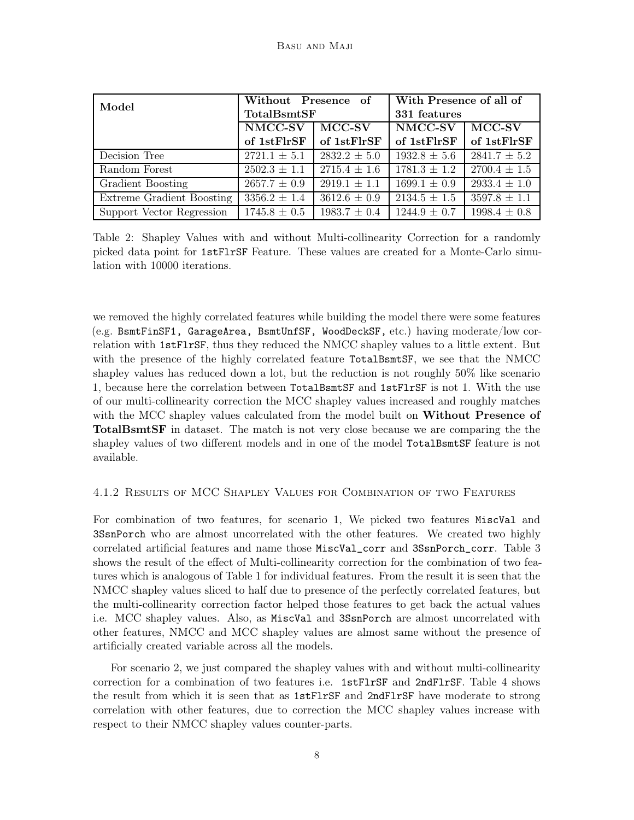<span id="page-7-0"></span>

| Model                     | Without Presence of |                  | With Presence of all of |                  |  |
|---------------------------|---------------------|------------------|-------------------------|------------------|--|
|                           | TotalBsmtSF         |                  | 331 features            |                  |  |
|                           | NMCC-SV<br>$MCC-SV$ |                  | NMCC-SV                 | $MCC-SV$         |  |
|                           | of 1stFlrSF         | of 1stFlrSF      | of 1stFlrSF             | of 1stFlrSF      |  |
| Decision Tree             | $2721.1 \pm 5.1$    | $2832.2 \pm 5.0$ | $1932.8 \pm 5.6$        | $2841.7 \pm 5.2$ |  |
| Random Forest             | $2502.3 \pm 1.1$    | $2715.4 \pm 1.6$ | $1781.3 \pm 1.2$        | $2700.4 \pm 1.5$ |  |
| Gradient Boosting         | $2657.7 \pm 0.9$    | $2919.1 \pm 1.1$ | $1699.1 \pm 0.9$        | $2933.4 \pm 1.0$ |  |
| Extreme Gradient Boosting | $3356.2 \pm 1.4$    | $3612.6 \pm 0.9$ | $2134.5 \pm 1.5$        | $3597.8 \pm 1.1$ |  |
| Support Vector Regression | $1745.8 \pm 0.5$    | $1983.7 \pm 0.4$ | $1244.9 \pm 0.7$        | $1998.4 \pm 0.8$ |  |

Table 2: Shapley Values with and without Multi-collinearity Correction for a randomly picked data point for 1stFlrSF Feature. These values are created for a Monte-Carlo simulation with 10000 iterations.

we removed the highly correlated features while building the model there were some features (e.g. BsmtFinSF1, GarageArea, BsmtUnfSF, WoodDeckSF, etc.) having moderate/low correlation with 1stFlrSF, thus they reduced the NMCC shapley values to a little extent. But with the presence of the highly correlated feature TotalBsmtSF, we see that the NMCC shapley values has reduced down a lot, but the reduction is not roughly 50% like scenario 1, because here the correlation between TotalBsmtSF and 1stFlrSF is not 1. With the use of our multi-collinearity correction the MCC shapley values increased and roughly matches with the MCC shapley values calculated from the model built on Without Presence of TotalBsmtSF in dataset. The match is not very close because we are comparing the the shapley values of two different models and in one of the model TotalBsmtSF feature is not available.

#### 4.1.2 Results of MCC Shapley Values for Combination of two Features

For combination of two features, for scenario 1, We picked two features MiscVal and 3SsnPorch who are almost uncorrelated with the other features. We created two highly correlated artificial features and name those MiscVal\_corr and 3SsnPorch\_corr. Table [3](#page-8-0) shows the result of the effect of Multi-collinearity correction for the combination of two features which is analogous of Table [1](#page-6-0) for individual features. From the result it is seen that the NMCC shapley values sliced to half due to presence of the perfectly correlated features, but the multi-collinearity correction factor helped those features to get back the actual values i.e. MCC shapley values. Also, as MiscVal and 3SsnPorch are almost uncorrelated with other features, NMCC and MCC shapley values are almost same without the presence of artificially created variable across all the models.

For scenario 2, we just compared the shapley values with and without multi-collinearity correction for a combination of two features i.e. 1stFlrSF and 2ndFlrSF. Table [4](#page-8-1) shows the result from which it is seen that as 1stFlrSF and 2ndFlrSF have moderate to strong correlation with other features, due to correction the MCC shapley values increase with respect to their NMCC shapley values counter-parts.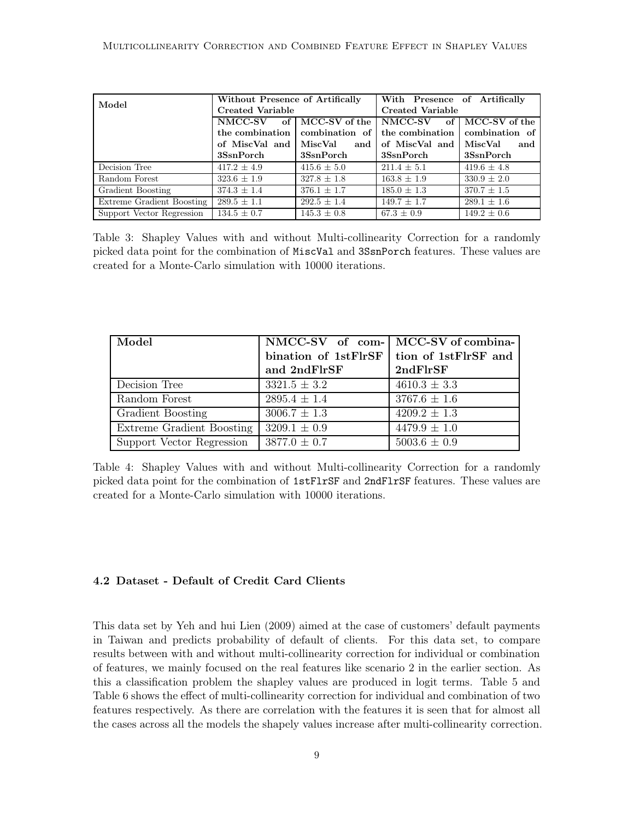<span id="page-8-0"></span>

| Model                     | Without Presence of Artifically |                    | With Presence of Artifically |                 |  |
|---------------------------|---------------------------------|--------------------|------------------------------|-----------------|--|
|                           | <b>Created Variable</b>         |                    | <b>Created Variable</b>      |                 |  |
|                           | NMCC-SV                         | of   MCC-SV of the | NMCC-SV of MCC-SV of the     |                 |  |
|                           | the combination                 | combination of     | the combination              | combination of  |  |
|                           | of MiscVal and MiscVal          |                    | and of MiscVal and           | MiscVal<br>and  |  |
|                           | 3SsnPorch                       | 3SsnPorch          | 3SsnPorch                    | 3SsnPorch       |  |
| Decision Tree             | $417.2 \pm 4.9$                 | $415.6 \pm 5.0$    | $211.4 \pm 5.1$              | $419.6 \pm 4.8$ |  |
| Random Forest             | $323.6 \pm 1.9$                 | $327.8 \pm 1.8$    | $163.8 \pm 1.9$              | $330.9 \pm 2.0$ |  |
| Gradient Boosting         | $374.3 \pm 1.4$                 | $376.1 \pm 1.7$    | $185.0 \pm 1.3$              | $370.7 \pm 1.5$ |  |
| Extreme Gradient Boosting | $289.5 \pm 1.1$                 | $292.5 \pm 1.4$    | $149.7 \pm 1.7$              | $289.1 \pm 1.6$ |  |
| Support Vector Regression | $134.5 \pm 0.7$                 | $145.3 \pm 0.8$    | $67.3 \pm 0.9$               | $149.2 \pm 0.6$ |  |

Table 3: Shapley Values with and without Multi-collinearity Correction for a randomly picked data point for the combination of MiscVal and 3SsnPorch features. These values are created for a Monte-Carlo simulation with 10000 iterations.

<span id="page-8-1"></span>

| Model                     |                      | NMCC-SV of com- MCC-SV of combina- |
|---------------------------|----------------------|------------------------------------|
|                           | bination of 1stFlrSF | tion of 1stFlrSF and               |
|                           | and 2ndFlrSF         | 2ndFlrSF                           |
| Decision Tree             | $3321.5 \pm 3.2$     | $4610.3 \pm 3.3$                   |
| Random Forest             | $2895.4 \pm 1.4$     | $3767.6 \pm 1.6$                   |
| Gradient Boosting         | $3006.7 \pm 1.3$     | $4209.2 \pm 1.3$                   |
| Extreme Gradient Boosting | $3209.1 \pm 0.9$     | $4479.9 \pm 1.0$                   |
| Support Vector Regression | $3877.0 \pm 0.7$     | $5003.6 \pm 0.9$                   |

Table 4: Shapley Values with and without Multi-collinearity Correction for a randomly picked data point for the combination of 1stFlrSF and 2ndFlrSF features. These values are created for a Monte-Carlo simulation with 10000 iterations.

#### 4.2 Dataset - Default of Credit Card Clients

This data set by [Yeh and hui Lien \(2009](#page-10-3)) aimed at the case of customers' default payments in Taiwan and predicts probability of default of clients. For this data set, to compare results between with and without multi-collinearity correction for individual or combination of features, we mainly focused on the real features like scenario 2 in the earlier section. As this a classification problem the shapley values are produced in logit terms. Table [5](#page-9-0) and Table [6](#page-9-1) shows the effect of multi-collinearity correction for individual and combination of two features respectively. As there are correlation with the features it is seen that for almost all the cases across all the models the shapely values increase after multi-collinearity correction.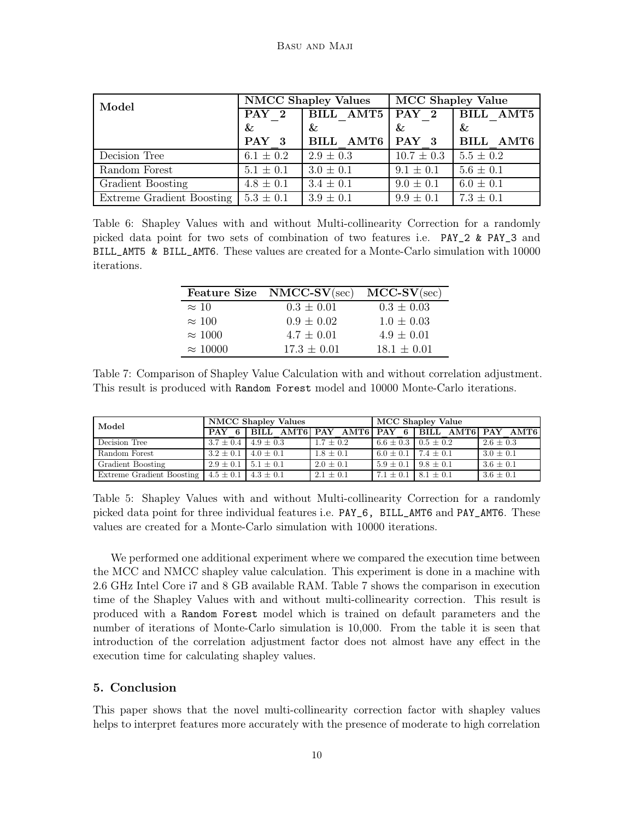<span id="page-9-1"></span>

| Model                     |               | <b>NMCC Shapley Values</b> | <b>MCC Shapley Value</b> |                  |  |
|---------------------------|---------------|----------------------------|--------------------------|------------------|--|
|                           | $PAY$ 2       | BILL AMT5 PAY 2            |                          | <b>BILL AMT5</b> |  |
|                           | &             | &                          | $\&$                     | $\&$             |  |
|                           | PAY 3         | BILL AMT6 PAY 3            |                          | BILL AMT6        |  |
| Decision Tree             | $6.1 \pm 0.2$ | $2.9 \pm 0.3$              | $10.7 \pm 0.3$           | $5.5 \pm 0.2$    |  |
| Random Forest             | $5.1 \pm 0.1$ | $3.0 \pm 0.1$              | $9.1 \pm 0.1$            | $5.6 \pm 0.1$    |  |
| Gradient Boosting         | $4.8 \pm 0.1$ | $3.4 \pm 0.1$              | $9.0 \pm 0.1$            | $6.0 \pm 0.1$    |  |
| Extreme Gradient Boosting | $5.3 \pm 0.1$ | $3.9 \pm 0.1$              | $9.9 \pm 0.1$            | $7.3 \pm 0.1$    |  |

<span id="page-9-2"></span>Table 6: Shapley Values with and without Multi-collinearity Correction for a randomly picked data point for two sets of combination of two features i.e. PAY\_2 & PAY\_3 and BILL\_AMT5 & BILL\_AMT6. These values are created for a Monte-Carlo simulation with 10000 iterations.

|                 | Feature Size NMCC-SV(sec) | $MCC-SV(\text{sec})$ |
|-----------------|---------------------------|----------------------|
| $\approx 10$    | $0.3 \pm 0.01$            | $0.3 \pm 0.03$       |
| $\approx 100$   | $0.9 \pm 0.02$            | $1.0 \pm 0.03$       |
| $\approx 1000$  | $4.7 \pm 0.01$            | $4.9 \pm 0.01$       |
| $\approx 10000$ | $17.3 \pm 0.01$           | $18.1 \pm 0.01$      |

Table 7: Comparison of Shapley Value Calculation with and without correlation adjustment. This result is produced with Random Forest model and 10000 Monte-Carlo iterations.

<span id="page-9-0"></span>

| Model                                                     | <b>NMCC Shapley Values</b>    |  |               | MCC Shapley Value             |                                                   |               |
|-----------------------------------------------------------|-------------------------------|--|---------------|-------------------------------|---------------------------------------------------|---------------|
|                                                           |                               |  |               |                               | PAY 6 BILL AMT6 PAY AMT6 PAY 6 BILL AMT6 PAY AMT6 |               |
| Decision Tree                                             | $3.7 \pm 0.4$ 4.9 $\pm$ 0.3   |  | $1.7 \pm 0.2$ | $6.6 \pm 0.3$   0.5 $\pm$ 0.2 |                                                   | $2.6 \pm 0.3$ |
| Random Forest                                             | $3.2 \pm 0.1$ $4.0 \pm 0.1$   |  | $1.8 \pm 0.1$ | $6.0 \pm 0.1$ 7.4 $\pm$ 0.1   |                                                   | $3.0 \pm 0.1$ |
| Gradient Boosting                                         | $2.9 \pm 0.1$   $5.1 \pm 0.1$ |  | $2.0 + 0.1$   | $5.9 + 0.1$   $9.8 + 0.1$     |                                                   | $3.6 \pm 0.1$ |
| Extreme Gradient Boosting   $4.5 \pm 0.1$   $4.3 \pm 0.1$ |                               |  | $2.1 \pm 0.1$ | $7.1 \pm 0.1$   8.1 $\pm$ 0.1 |                                                   | $3.6 \pm 0.1$ |

Table 5: Shapley Values with and without Multi-collinearity Correction for a randomly picked data point for three individual features i.e. PAY\_6, BILL\_AMT6 and PAY\_AMT6. These values are created for a Monte-Carlo simulation with 10000 iterations.

We performed one additional experiment where we compared the execution time between the MCC and NMCC shapley value calculation. This experiment is done in a machine with 2.6 GHz Intel Core i7 and 8 GB available RAM. Table [7](#page-9-2) shows the comparison in execution time of the Shapley Values with and without multi-collinearity correction. This result is produced with a Random Forest model which is trained on default parameters and the number of iterations of Monte-Carlo simulation is 10,000. From the table it is seen that introduction of the correlation adjustment factor does not almost have any effect in the execution time for calculating shapley values.

### 5. Conclusion

This paper shows that the novel multi-collinearity correction factor with shapley values helps to interpret features more accurately with the presence of moderate to high correlation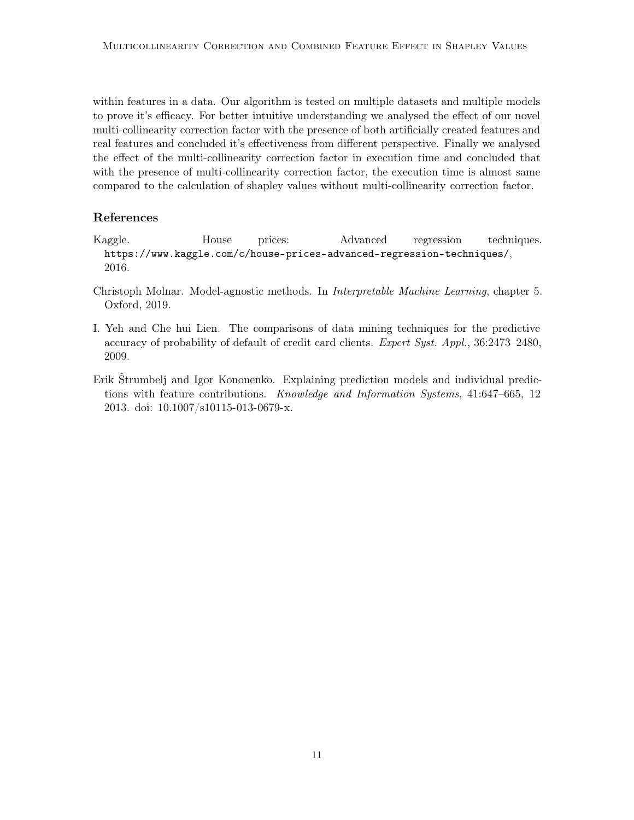within features in a data. Our algorithm is tested on multiple datasets and multiple models to prove it's efficacy. For better intuitive understanding we analysed the effect of our novel multi-collinearity correction factor with the presence of both artificially created features and real features and concluded it's effectiveness from different perspective. Finally we analysed the effect of the multi-collinearity correction factor in execution time and concluded that with the presence of multi-collinearity correction factor, the execution time is almost same compared to the calculation of shapley values without multi-collinearity correction factor.

# References

- <span id="page-10-2"></span>Kaggle. House prices: Advanced regression techniques. <https://www.kaggle.com/c/house-prices-advanced-regression-techniques/>, 2016.
- <span id="page-10-0"></span>Christoph Molnar. Model-agnostic methods. In Interpretable Machine Learning, chapter 5. Oxford, 2019.
- <span id="page-10-3"></span>I. Yeh and Che hui Lien. The comparisons of data mining techniques for the predictive accuracy of probability of default of credit card clients. Expert Syst. Appl., 36:2473–2480, 2009.
- <span id="page-10-1"></span>Erik Štrumbelj and Igor Kononenko. Explaining prediction models and individual predictions with feature contributions. Knowledge and Information Systems, 41:647–665, 12 2013. doi: 10.1007/s10115-013-0679-x.